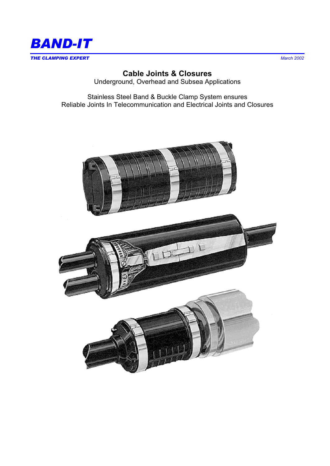

# **Cable Joints & Closures**

Underground, Overhead and Subsea Applications

Stainless Steel Band & Buckle Clamp System ensures Reliable Joints In Telecommunication and Electrical Joints and Closures

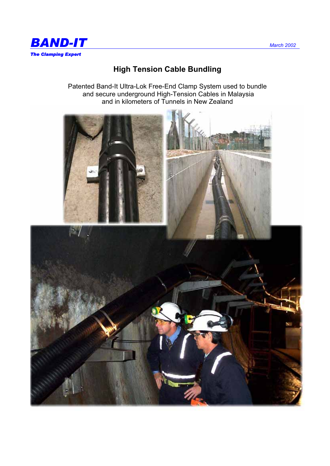

# **High Tension Cable Bundling**

Patented Band-It Ultra-Lok Free-End Clamp System used to bundle and secure underground High-Tension Cables in Malaysia and in kilometers of Tunnels in New Zealand

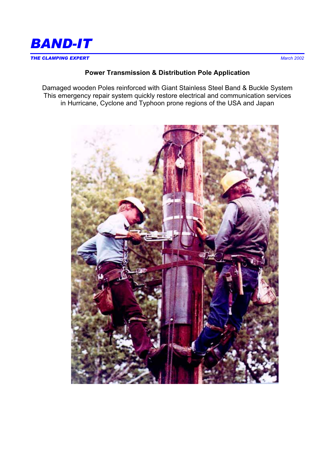

### **Power Transmission & Distribution Pole Application**

Damaged wooden Poles reinforced with Giant Stainless Steel Band & Buckle System This emergency repair system quickly restore electrical and communication services in Hurricane, Cyclone and Typhoon prone regions of the USA and Japan

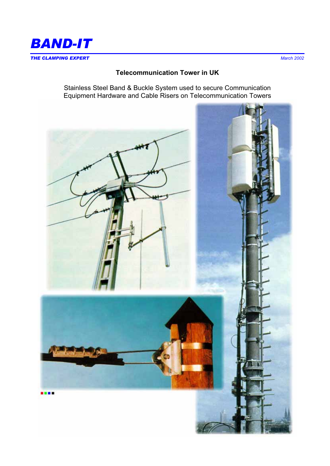

#### **Telecommunication Tower in UK**

Stainless Steel Band & Buckle System used to secure Communication Equipment Hardware and Cable Risers on Telecommunication Towers

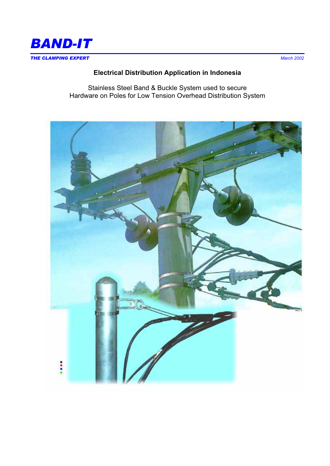

## **Electrical Distribution Application in Indonesia**

Stainless Steel Band & Buckle System used to secure Hardware on Poles for Low Tension Overhead Distribution System

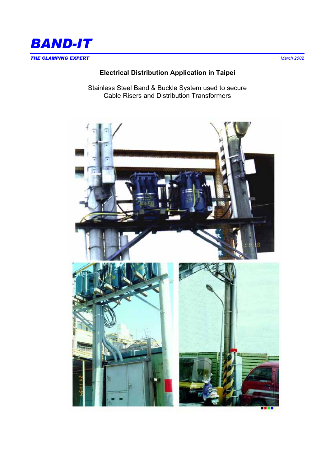

**Electrical Distribution Application in Taipei** 

Stainless Steel Band & Buckle System used to secure Cable Risers and Distribution Transformers